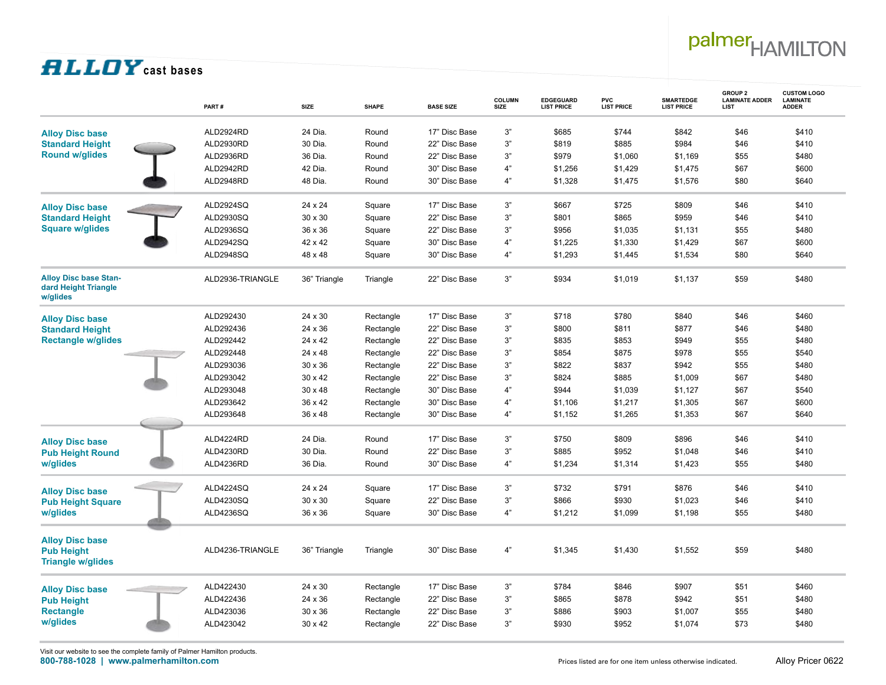# palmer<sub>HAMILTON</sub>

### **filloy** cast bases

|                                                                         | PART#            | <b>SIZE</b>    | <b>SHAPE</b> | <b>BASE SIZE</b> | <b>COLUMN</b><br><b>SIZE</b> | EDGEGUARD<br><b>LIST PRICE</b> | <b>PVC</b><br><b>LIST PRICE</b> | <b>SMARTEDGE</b><br><b>LIST PRICE</b> | <b>GROUP 2</b><br><b>LAMINATE ADDER</b><br>LIST | <b>CUSTOM LOGO</b><br><b>LAMINATE</b><br><b>ADDER</b> |
|-------------------------------------------------------------------------|------------------|----------------|--------------|------------------|------------------------------|--------------------------------|---------------------------------|---------------------------------------|-------------------------------------------------|-------------------------------------------------------|
| <b>Alloy Disc base</b>                                                  | ALD2924RD        | 24 Dia.        | Round        | 17" Disc Base    | 3"                           | \$685                          | \$744                           | \$842                                 | \$46                                            | \$410                                                 |
| <b>Standard Height</b>                                                  | ALD2930RD        | 30 Dia.        | Round        | 22" Disc Base    | 3"                           | \$819                          | \$885                           | \$984                                 | \$46                                            | \$410                                                 |
| <b>Round w/glides</b>                                                   | ALD2936RD        | 36 Dia.        | Round        | 22" Disc Base    | 3"                           | \$979                          | \$1,060                         | \$1,169                               | \$55                                            | \$480                                                 |
|                                                                         | ALD2942RD        | 42 Dia.        | Round        | 30" Disc Base    | 4"                           | \$1,256                        | \$1,429                         | \$1,475                               | \$67                                            | \$600                                                 |
|                                                                         | ALD2948RD        | 48 Dia.        | Round        | 30" Disc Base    | 4"                           | \$1,328                        | \$1,475                         | \$1,576                               | \$80                                            | \$640                                                 |
| <b>Alloy Disc base</b>                                                  | ALD2924SQ        | 24 x 24        | Square       | 17" Disc Base    | 3"                           | \$667                          | \$725                           | \$809                                 | \$46                                            | \$410                                                 |
| <b>Standard Height</b>                                                  | ALD2930SQ        | 30 x 30        | Square       | 22" Disc Base    | 3"                           | \$801                          | \$865                           | \$959                                 | \$46                                            | \$410                                                 |
| <b>Square w/glides</b>                                                  | ALD2936SQ        | 36 x 36        | Square       | 22" Disc Base    | 3"                           | \$956                          | \$1,035                         | \$1,131                               | \$55                                            | \$480                                                 |
|                                                                         | ALD2942SQ        | 42 x 42        | Square       | 30" Disc Base    | 4"                           | \$1,225                        | \$1,330                         | \$1,429                               | \$67                                            | \$600                                                 |
|                                                                         | ALD2948SQ        | 48 x 48        | Square       | 30" Disc Base    | 4"                           | \$1,293                        | \$1,445                         | \$1,534                               | \$80                                            | \$640                                                 |
| <b>Alloy Disc base Stan-</b><br>dard Height Triangle<br>w/glides        | ALD2936-TRIANGLE | 36" Triangle   | Triangle     | 22" Disc Base    | 3"                           | \$934                          | \$1,019                         | \$1,137                               | \$59                                            | \$480                                                 |
| <b>Alloy Disc base</b>                                                  | ALD292430        | 24 x 30        | Rectangle    | 17" Disc Base    | 3"                           | \$718                          | \$780                           | \$840                                 | \$46                                            | \$460                                                 |
| <b>Standard Height</b>                                                  | ALD292436        | 24 x 36        | Rectangle    | 22" Disc Base    | 3"                           | \$800                          | \$811                           | \$877                                 | \$46                                            | \$480                                                 |
| <b>Rectangle w/glides</b>                                               | ALD292442        | 24 x 42        | Rectangle    | 22" Disc Base    | 3"                           | \$835                          | \$853                           | \$949                                 | \$55                                            | \$480                                                 |
|                                                                         | ALD292448        | 24 x 48        | Rectangle    | 22" Disc Base    | 3"                           | \$854                          | \$875                           | \$978                                 | \$55                                            | \$540                                                 |
|                                                                         | ALD293036        | 30 x 36        | Rectangle    | 22" Disc Base    | 3"                           | \$822                          | \$837                           | \$942                                 | \$55                                            | \$480                                                 |
|                                                                         | ALD293042        | $30 \times 42$ | Rectangle    | 22" Disc Base    | 3"                           | \$824                          | \$885                           | \$1,009                               | \$67                                            | \$480                                                 |
|                                                                         | ALD293048        | $30 \times 48$ | Rectangle    | 30" Disc Base    | 4"                           | \$944                          | \$1,039                         | \$1,127                               | \$67                                            | \$540                                                 |
|                                                                         | ALD293642        | 36 x 42        | Rectangle    | 30" Disc Base    | 4"                           | \$1,106                        | \$1,217                         | \$1,305                               | \$67                                            | \$600                                                 |
|                                                                         | ALD293648        | 36 x 48        | Rectangle    | 30" Disc Base    | 4"                           | \$1,152                        | \$1,265                         | \$1,353                               | \$67                                            | \$640                                                 |
|                                                                         |                  |                |              |                  |                              |                                |                                 |                                       |                                                 |                                                       |
| <b>Alloy Disc base</b>                                                  | ALD4224RD        | 24 Dia.        | Round        | 17" Disc Base    | 3"                           | \$750                          | \$809                           | \$896                                 | \$46                                            | \$410                                                 |
| <b>Pub Height Round</b>                                                 | ALD4230RD        | 30 Dia.        | Round        | 22" Disc Base    | 3"                           | \$885                          | \$952                           | \$1,048                               | \$46                                            | \$410                                                 |
| w/glides                                                                | ALD4236RD        | 36 Dia.        | Round        | 30" Disc Base    | 4"                           | \$1,234                        | \$1,314                         | \$1,423                               | \$55                                            | \$480                                                 |
| <b>Alloy Disc base</b>                                                  | ALD4224SQ        | 24 x 24        | Square       | 17" Disc Base    | 3"                           | \$732                          | \$791                           | \$876                                 | \$46                                            | \$410                                                 |
| <b>Pub Height Square</b>                                                | ALD4230SQ        | 30 x 30        | Square       | 22" Disc Base    | 3"                           | \$866                          | \$930                           | \$1,023                               | \$46                                            | \$410                                                 |
| w/glides                                                                | ALD4236SQ        | 36 x 36        | Square       | 30" Disc Base    | 4"                           | \$1,212                        | \$1,099                         | \$1,198                               | \$55                                            | \$480                                                 |
| <b>Alloy Disc base</b><br><b>Pub Height</b><br><b>Triangle w/glides</b> | ALD4236-TRIANGLE | 36" Triangle   | Triangle     | 30" Disc Base    | 4"                           | \$1,345                        | \$1,430                         | \$1,552                               | \$59                                            | \$480                                                 |
| <b>Alloy Disc base</b>                                                  | ALD422430        | 24 x 30        | Rectangle    | 17" Disc Base    | 3"                           | \$784                          | \$846                           | \$907                                 | \$51                                            | \$460                                                 |
| <b>Pub Height</b>                                                       | ALD422436        | 24 x 36        | Rectangle    | 22" Disc Base    | 3"                           | \$865                          | \$878                           | \$942                                 | \$51                                            | \$480                                                 |
| <b>Rectangle</b>                                                        | ALD423036        | 30 x 36        | Rectangle    | 22" Disc Base    | 3"                           | \$886                          | \$903                           | \$1,007                               | \$55                                            | \$480                                                 |
| w/glides                                                                | ALD423042        | 30 x 42        | Rectangle    | 22" Disc Base    | 3"                           | \$930                          | \$952                           | \$1,074                               | \$73                                            | \$480                                                 |